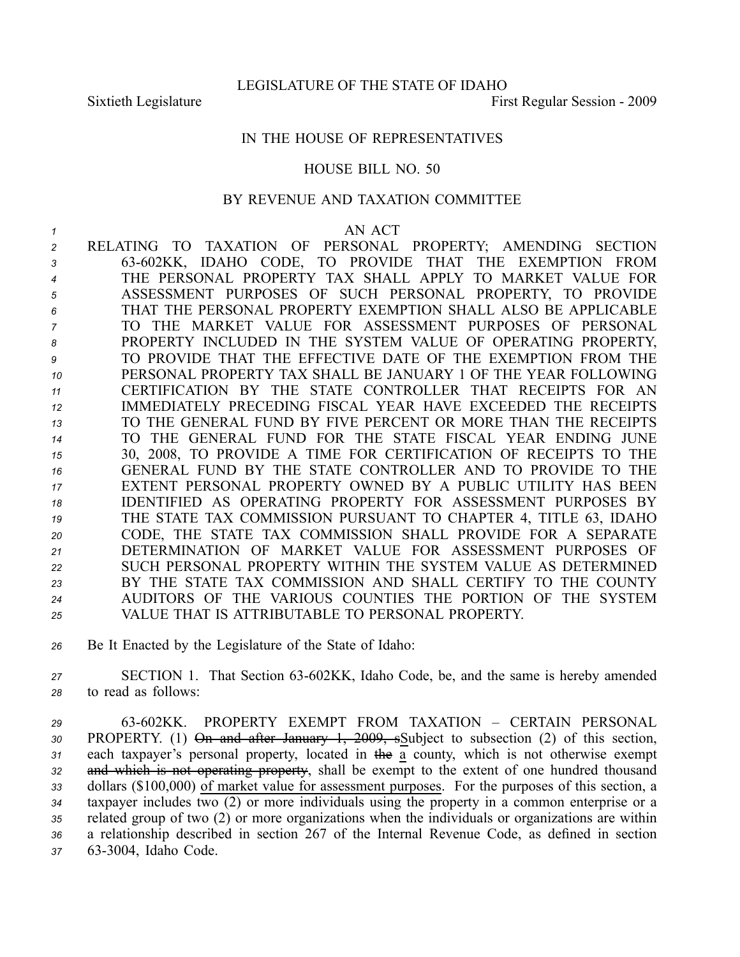## IN THE HOUSE OF REPRESENTATIVES

## HOUSE BILL NO. 50

## BY REVENUE AND TAXATION COMMITTEE

## *1* AN ACT

 RELATING TO TAXATION OF PERSONAL PROPERTY; AMENDING SECTION 63602KK, IDAHO CODE, TO PROVIDE THAT THE EXEMPTION FROM THE PERSONAL PROPERTY TAX SHALL APPLY TO MARKET VALUE FOR ASSESSMENT PURPOSES OF SUCH PERSONAL PROPERTY, TO PROVIDE THAT THE PERSONAL PROPERTY EXEMPTION SHALL ALSO BE APPLICABLE TO THE MARKET VALUE FOR ASSESSMENT PURPOSES OF PERSONAL PROPERTY INCLUDED IN THE SYSTEM VALUE OF OPERATING PROPERTY, TO PROVIDE THAT THE EFFECTIVE DATE OF THE EXEMPTION FROM THE PERSONAL PROPERTY TAX SHALL BE JANUARY 1 OF THE YEAR FOLLOWING CERTIFICATION BY THE STATE CONTROLLER THAT RECEIPTS FOR AN IMMEDIATELY PRECEDING FISCAL YEAR HAVE EXCEEDED THE RECEIPTS TO THE GENERAL FUND BY FIVE PERCENT OR MORE THAN THE RECEIPTS TO THE GENERAL FUND FOR THE STATE FISCAL YEAR ENDING JUNE 30, 2008, TO PROVIDE A TIME FOR CERTIFICATION OF RECEIPTS TO THE GENERAL FUND BY THE STATE CONTROLLER AND TO PROVIDE TO THE EXTENT PERSONAL PROPERTY OWNED BY A PUBLIC UTILITY HAS BEEN IDENTIFIED AS OPERATING PROPERTY FOR ASSESSMENT PURPOSES BY THE STATE TAX COMMISSION PURSUANT TO CHAPTER 4, TITLE 63, IDAHO CODE, THE STATE TAX COMMISSION SHALL PROVIDE FOR A SEPARATE DETERMINATION OF MARKET VALUE FOR ASSESSMENT PURPOSES OF SUCH PERSONAL PROPERTY WITHIN THE SYSTEM VALUE AS DETERMINED BY THE STATE TAX COMMISSION AND SHALL CERTIFY TO THE COUNTY AUDITORS OF THE VARIOUS COUNTIES THE PORTION OF THE SYSTEM VALUE THAT IS ATTRIBUTABLE TO PERSONAL PROPERTY.

*<sup>26</sup>* Be It Enacted by the Legislature of the State of Idaho:

27 **SECTION 1.** That Section 63-602KK, Idaho Code, be, and the same is hereby amended *<sup>28</sup>* to read as follows:

 63602KK. PROPERTY EXEMPT FROM TAXATION – CERTAIN PERSONAL PROPERTY. (1) On and after January 1, 2009, sSubject to subsection (2) of this section, each taxpayer's personal property, located in the <sup>a</sup> county, which is not otherwise exemp<sup>t</sup> and which is not operating property, shall be exemp<sup>t</sup> to the extent of one hundred thousand dollars (\$100,000) of market value for assessment purposes. For the purposes of this section, <sup>a</sup> taxpayer includes two (2) or more individuals using the property in <sup>a</sup> common enterprise or <sup>a</sup> related group of two (2) or more organizations when the individuals or organizations are within <sup>a</sup> relationship described in section 267 of the Internal Revenue Code, as defined in section 633004, Idaho Code.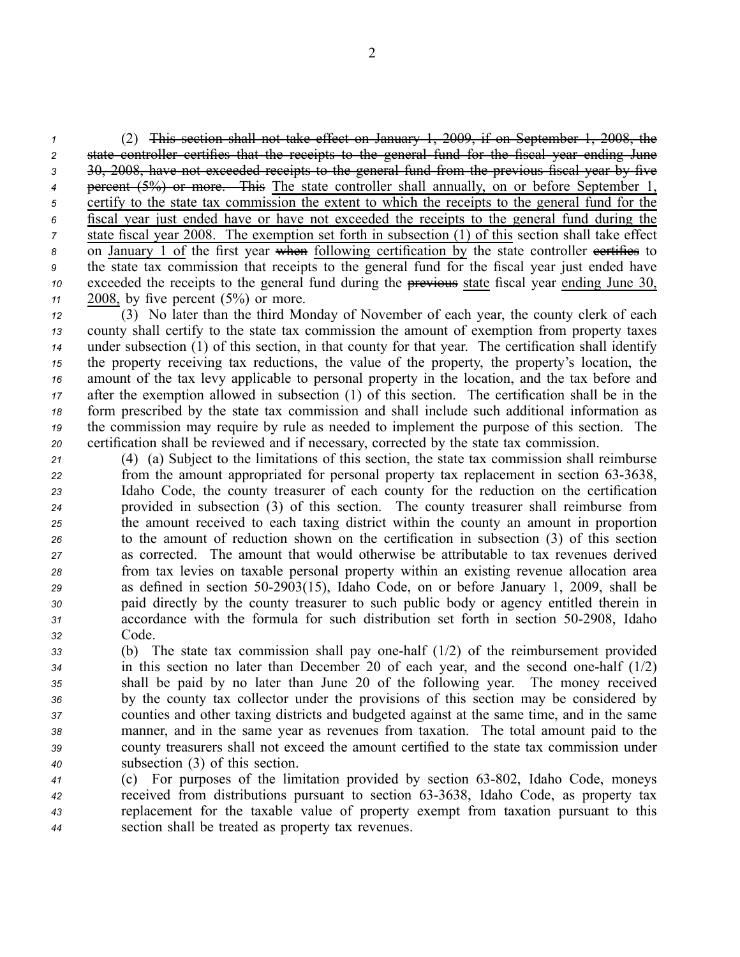(2) This section shall not take effect on January 1, 2009, if on September 1, 2008, the state controller certifies that the receipts to the general fund for the fiscal year ending June 30, 2008, have not exceeded receipts to the general fund from the previous fiscal year by five percen<sup>t</sup> (5%) or more. This The state controller shall annually, on or before September 1, certify to the state tax commission the extent to which the receipts to the general fund for the fiscal year just ended have or have not exceeded the receipts to the general fund during the state fiscal year 2008. The exemption set forth in subsection (1) of this section shall take effect 8 on January 1 of the first year when following certification by the state controller certifies to the state tax commission that receipts to the general fund for the fiscal year just ended have exceeded the receipts to the general fund during the previous state fiscal year ending June 30, 2008, by five percen<sup>t</sup> (5%) or more.

 (3) No later than the third Monday of November of each year, the county clerk of each county shall certify to the state tax commission the amount of exemption from property taxes under subsection (1) of this section, in that county for that year. The certification shall identify the property receiving tax reductions, the value of the property, the property's location, the amount of the tax levy applicable to personal property in the location, and the tax before and after the exemption allowed in subsection (1) of this section. The certification shall be in the form prescribed by the state tax commission and shall include such additional information as the commission may require by rule as needed to implement the purpose of this section. The certification shall be reviewed and if necessary, corrected by the state tax commission.

 (4) (a) Subject to the limitations of this section, the state tax commission shall reimburse *22* from the amount appropriated for personal property tax replacement in section 63-3638, Idaho Code, the county treasurer of each county for the reduction on the certification provided in subsection (3) of this section. The county treasurer shall reimburse from the amount received to each taxing district within the county an amount in proportion to the amount of reduction shown on the certification in subsection (3) of this section as corrected. The amount that would otherwise be attributable to tax revenues derived from tax levies on taxable personal property within an existing revenue allocation area as defined in section 502903(15), Idaho Code, on or before January 1, 2009, shall be paid directly by the county treasurer to such public body or agency entitled therein in accordance with the formula for such distribution set forth in section 502908, Idaho *<sup>32</sup>* Code.

 (b) The state tax commission shall pay onehalf (1/2) of the reimbursement provided in this section no later than December 20 of each year, and the second onehalf (1/2) shall be paid by no later than June 20 of the following year. The money received by the county tax collector under the provisions of this section may be considered by counties and other taxing districts and budgeted against at the same time, and in the same manner, and in the same year as revenues from taxation. The total amount paid to the county treasurers shall not exceed the amount certified to the state tax commission under subsection (3) of this section.

 (c) For purposes of the limitation provided by section 63802, Idaho Code, moneys received from distributions pursuan<sup>t</sup> to section 633638, Idaho Code, as property tax replacement for the taxable value of property exemp<sup>t</sup> from taxation pursuan<sup>t</sup> to this section shall be treated as property tax revenues.